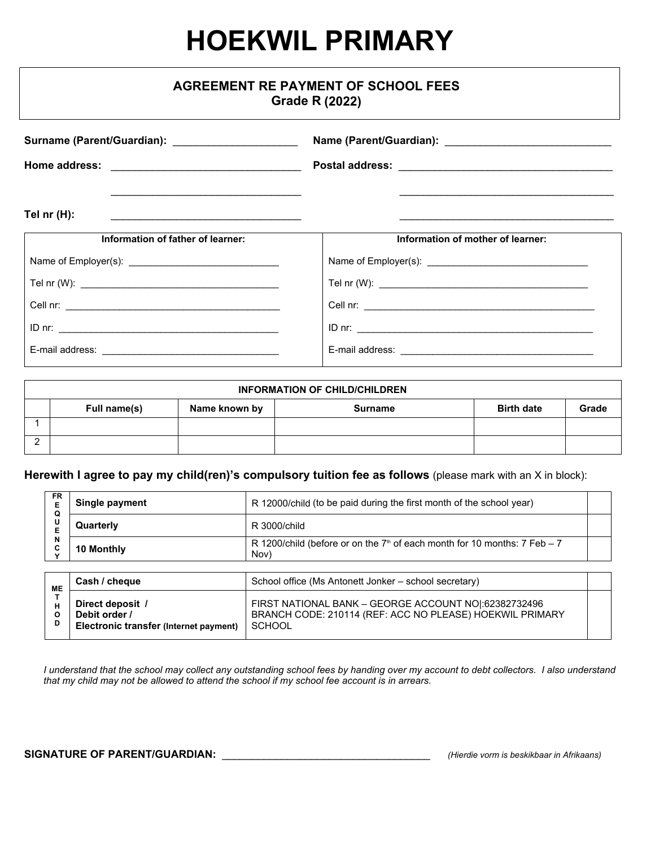# **HOEKWIL PRIMARY**

| <b>AGREEMENT RE PAYMENT OF SCHOOL FEES</b><br><b>Grade R (2022)</b>                                                                                                                                                                                                                 |                                   |  |  |  |  |
|-------------------------------------------------------------------------------------------------------------------------------------------------------------------------------------------------------------------------------------------------------------------------------------|-----------------------------------|--|--|--|--|
| Surname (Parent/Guardian): _______________________                                                                                                                                                                                                                                  |                                   |  |  |  |  |
|                                                                                                                                                                                                                                                                                     |                                   |  |  |  |  |
| Tel $nr(H)$ :<br>the control of the control of the control of the control of the control of the control of the control of the control of the control of the control of the control of the control of the control of the control of the control<br>Information of father of learner: | Information of mother of learner: |  |  |  |  |
|                                                                                                                                                                                                                                                                                     |                                   |  |  |  |  |
|                                                                                                                                                                                                                                                                                     |                                   |  |  |  |  |
|                                                                                                                                                                                                                                                                                     |                                   |  |  |  |  |
|                                                                                                                                                                                                                                                                                     |                                   |  |  |  |  |
|                                                                                                                                                                                                                                                                                     |                                   |  |  |  |  |

| <b>INFORMATION OF CHILD/CHILDREN</b> |              |               |                |                   |       |
|--------------------------------------|--------------|---------------|----------------|-------------------|-------|
|                                      | Full name(s) | Name known by | <b>Surname</b> | <b>Birth date</b> | Grade |
|                                      |              |               |                |                   |       |
| <u>_</u>                             |              |               |                |                   |       |

### **Herewith I agree to pay my child(ren)'s compulsory tuition fee as follows** (please mark with an X in block):

| FR<br>Е<br>Q | Single payment                                                              | R 12000/child (to be paid during the first month of the school year)                                                               |  |
|--------------|-----------------------------------------------------------------------------|------------------------------------------------------------------------------------------------------------------------------------|--|
| U<br>E       | Quarterly                                                                   | R 3000/child                                                                                                                       |  |
| N<br>C       | 10 Monthly                                                                  | R 1200/child (before or on the $7th$ of each month for 10 months: $7 \text{ Feb} - 7$<br>Nov)                                      |  |
|              |                                                                             |                                                                                                                                    |  |
| ME           | Cash / cheque                                                               | School office (Ms Antonett Jonker – school secretary)                                                                              |  |
| н<br>O<br>D  | Direct deposit /<br>Debit order /<br>Electronic transfer (Internet payment) | FIRST NATIONAL BANK - GEORGE ACCOUNT NO : 62382732496<br>BRANCH CODE: 210114 (REF: ACC NO PLEASE) HOEKWIL PRIMARY<br><b>SCHOOL</b> |  |

*I understand that the school may collect any outstanding school fees by handing over my account to debt collectors. I also understand that my child may not be allowed to attend the school if my school fee account is in arrears.*

#### **SIGNATURE OF PARENT/GUARDIAN:** \_\_\_\_\_\_\_\_\_\_\_\_\_\_\_\_\_\_\_\_\_\_\_\_\_\_\_\_\_\_\_\_\_\_\_ *(Hierdie vorm is beskikbaar in Afrikaans)*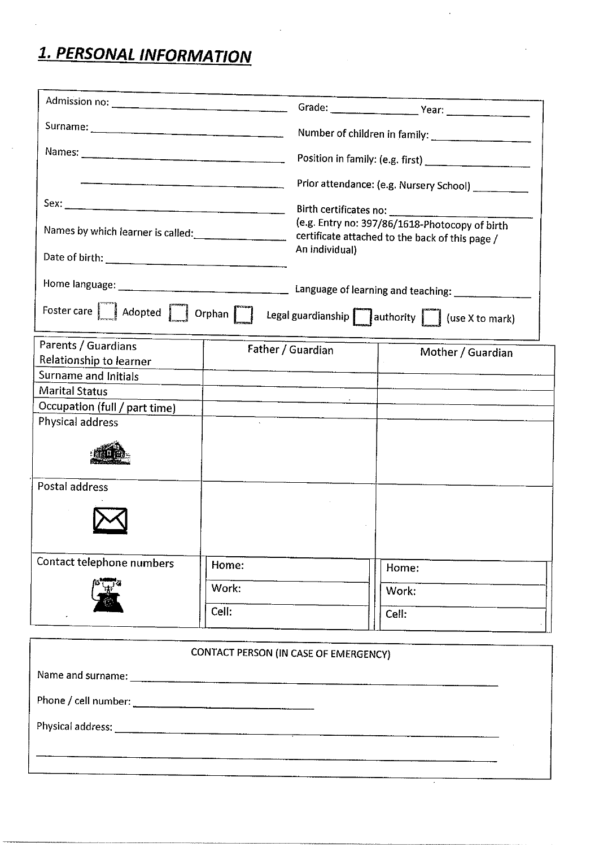## 1. PERSONAL INFORMATION

|                                                                                                                                                                                       |       | Prior attendance: (e.g. Nursery School)                                                                             |                   |  |  |  |
|---------------------------------------------------------------------------------------------------------------------------------------------------------------------------------------|-------|---------------------------------------------------------------------------------------------------------------------|-------------------|--|--|--|
|                                                                                                                                                                                       |       |                                                                                                                     |                   |  |  |  |
|                                                                                                                                                                                       |       | (e.g. Entry no: 397/86/1618-Photocopy of birth<br>certificate attached to the back of this page /<br>An individual) |                   |  |  |  |
|                                                                                                                                                                                       |       |                                                                                                                     |                   |  |  |  |
|                                                                                                                                                                                       |       |                                                                                                                     |                   |  |  |  |
| Foster care $\boxed{\phantom{1}}$ Adopted $\boxed{\phantom{1}}$ Orphan $\boxed{\phantom{1}}$ Legal guardianship $\boxed{\phantom{1}}$ authority $\boxed{\phantom{1}}$ (use X to mark) |       |                                                                                                                     |                   |  |  |  |
| Parents / Guardians                                                                                                                                                                   |       | Father / Guardian                                                                                                   | Mother / Guardian |  |  |  |
| Relationship to learner                                                                                                                                                               |       |                                                                                                                     |                   |  |  |  |
| Surname and Initials                                                                                                                                                                  |       |                                                                                                                     |                   |  |  |  |
| <b>Marital Status</b>                                                                                                                                                                 |       |                                                                                                                     |                   |  |  |  |
| Occupation (full / part time)<br>Physical address                                                                                                                                     |       |                                                                                                                     |                   |  |  |  |
|                                                                                                                                                                                       |       |                                                                                                                     |                   |  |  |  |
| Postal address                                                                                                                                                                        |       |                                                                                                                     |                   |  |  |  |
| Contact telephone numbers                                                                                                                                                             | Home: |                                                                                                                     | Home:             |  |  |  |
| Work:                                                                                                                                                                                 |       |                                                                                                                     | Work:             |  |  |  |
|                                                                                                                                                                                       | Cell: |                                                                                                                     | Cell:             |  |  |  |

| CONTACT PERSON (IN CASE OF EMERGENCY) |  |  |  |  |  |
|---------------------------------------|--|--|--|--|--|
|                                       |  |  |  |  |  |
|                                       |  |  |  |  |  |
|                                       |  |  |  |  |  |
|                                       |  |  |  |  |  |
|                                       |  |  |  |  |  |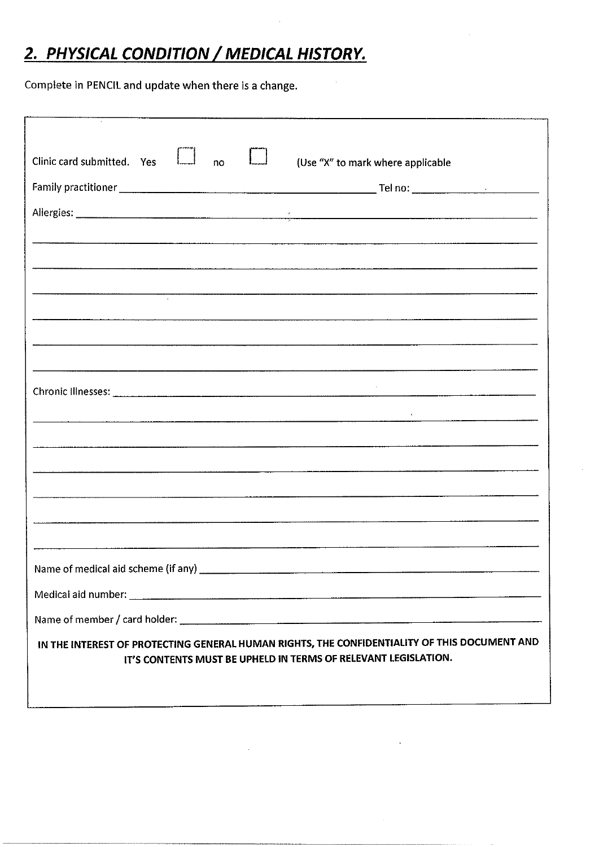## 2. PHYSICAL CONDITION / MEDICAL HISTORY.

Complete in PENCIL and update when there is a change.

| Clinic card submitted. Yes<br>(Use "X" to mark where applicable<br>no                                                                                                                                                         |
|-------------------------------------------------------------------------------------------------------------------------------------------------------------------------------------------------------------------------------|
|                                                                                                                                                                                                                               |
|                                                                                                                                                                                                                               |
|                                                                                                                                                                                                                               |
|                                                                                                                                                                                                                               |
| , in dimensional control of the construction of the construction of the construction of the construction of the construction of the construction of the construction of the construction of the construction of the construct |
|                                                                                                                                                                                                                               |
|                                                                                                                                                                                                                               |
|                                                                                                                                                                                                                               |
|                                                                                                                                                                                                                               |
| <u> 1980 - Januar Alexander (h. 1980).</u>                                                                                                                                                                                    |
|                                                                                                                                                                                                                               |
|                                                                                                                                                                                                                               |
|                                                                                                                                                                                                                               |
|                                                                                                                                                                                                                               |
|                                                                                                                                                                                                                               |
|                                                                                                                                                                                                                               |
|                                                                                                                                                                                                                               |
|                                                                                                                                                                                                                               |
|                                                                                                                                                                                                                               |
| IN THE INTEREST OF PROTECTING GENERAL HUMAN RIGHTS, THE CONFIDENTIALITY OF THIS DOCUMENT AND<br>IT'S CONTENTS MUST BE UPHELD IN TERMS OF RELEVANT LEGISLATION.                                                                |
|                                                                                                                                                                                                                               |